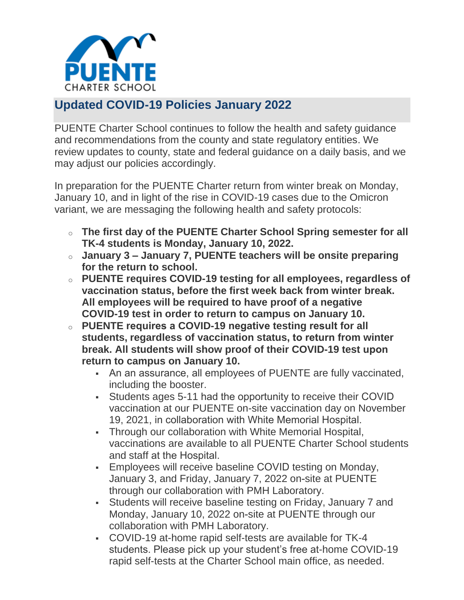

## **Updated COVID-19 Policies January 2022**

PUENTE Charter School continues to follow the health and safety guidance and recommendations from the county and state regulatory entities. We review updates to county, state and federal guidance on a daily basis, and we may adjust our policies accordingly.

In preparation for the PUENTE Charter return from winter break on Monday, January 10, and in light of the rise in COVID-19 cases due to the Omicron variant, we are messaging the following health and safety protocols:

- o **The first day of the PUENTE Charter School Spring semester for all TK-4 students is Monday, January 10, 2022.**
- o **January 3 – January 7, PUENTE teachers will be onsite preparing for the return to school.**
- o **PUENTE requires COVID-19 testing for all employees, regardless of vaccination status, before the first week back from winter break. All employees will be required to have proof of a negative COVID-19 test in order to return to campus on January 10.**
- <sup>o</sup> **PUENTE requires a COVID-19 negative testing result for all students, regardless of vaccination status, to return from winter break. All students will show proof of their COVID-19 test upon return to campus on January 10.**
	- An an assurance, all employees of PUENTE are fully vaccinated, including the booster.
	- Students ages 5-11 had the opportunity to receive their COVID vaccination at our PUENTE on-site vaccination day on November 19, 2021, in collaboration with White Memorial Hospital.
	- Through our collaboration with White Memorial Hospital, vaccinations are available to all PUENTE Charter School students and staff at the Hospital.
	- Employees will receive baseline COVID testing on Monday, January 3, and Friday, January 7, 2022 on-site at PUENTE through our collaboration with PMH Laboratory.
	- Students will receive baseline testing on Friday, January 7 and Monday, January 10, 2022 on-site at PUENTE through our collaboration with PMH Laboratory.
	- COVID-19 at-home rapid self-tests are available for TK-4 students. Please pick up your student's free at-home COVID-19 rapid self-tests at the Charter School main office, as needed.